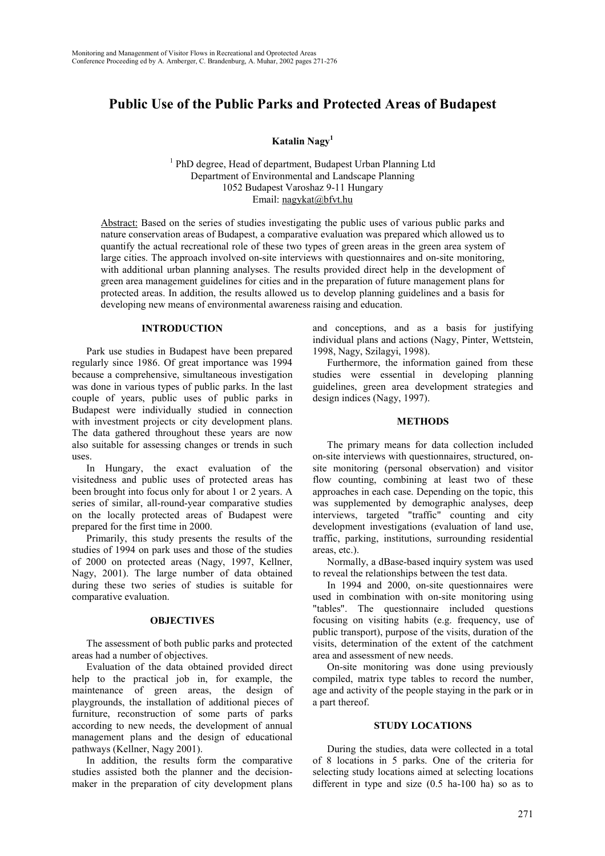# **Public Use of the Public Parks and Protected Areas of Budapest**

**Katalin Nagy<sup>1</sup>**

<sup>1</sup> PhD degree, Head of department, Budapest Urban Planning Ltd Department of Environmental and Landscape Planning 1052 Budapest Varoshaz 9-11 Hungary Email: nagykat@bfvt.hu

Abstract: Based on the series of studies investigating the public uses of various public parks and nature conservation areas of Budapest, a comparative evaluation was prepared which allowed us to quantify the actual recreational role of these two types of green areas in the green area system of large cities. The approach involved on-site interviews with questionnaires and on-site monitoring, with additional urban planning analyses. The results provided direct help in the development of green area management guidelines for cities and in the preparation of future management plans for protected areas. In addition, the results allowed us to develop planning guidelines and a basis for developing new means of environmental awareness raising and education.

### **INTRODUCTION**

Park use studies in Budapest have been prepared regularly since 1986. Of great importance was 1994 because a comprehensive, simultaneous investigation was done in various types of public parks. In the last couple of years, public uses of public parks in Budapest were individually studied in connection with investment projects or city development plans. The data gathered throughout these years are now also suitable for assessing changes or trends in such uses.

In Hungary, the exact evaluation of the visitedness and public uses of protected areas has been brought into focus only for about 1 or 2 years. A series of similar, all-round-year comparative studies on the locally protected areas of Budapest were prepared for the first time in 2000.

Primarily, this study presents the results of the studies of 1994 on park uses and those of the studies of 2000 on protected areas (Nagy, 1997, Kellner, Nagy, 2001). The large number of data obtained during these two series of studies is suitable for comparative evaluation.

# **OBJECTIVES**

The assessment of both public parks and protected areas had a number of objectives.

Evaluation of the data obtained provided direct help to the practical job in, for example, the maintenance of green areas, the design of playgrounds, the installation of additional pieces of furniture, reconstruction of some parts of parks according to new needs, the development of annual management plans and the design of educational pathways (Kellner, Nagy 2001).

In addition, the results form the comparative studies assisted both the planner and the decisionmaker in the preparation of city development plans

and conceptions, and as a basis for justifying individual plans and actions (Nagy, Pinter, Wettstein, 1998, Nagy, Szilagyi, 1998).

Furthermore, the information gained from these studies were essential in developing planning guidelines, green area development strategies and design indices (Nagy, 1997).

# **METHODS**

The primary means for data collection included on-site interviews with questionnaires, structured, onsite monitoring (personal observation) and visitor flow counting, combining at least two of these approaches in each case. Depending on the topic, this was supplemented by demographic analyses, deep interviews, targeted "traffic" counting and city development investigations (evaluation of land use, traffic, parking, institutions, surrounding residential areas, etc.).

Normally, a dBase-based inquiry system was used to reveal the relationships between the test data.

In 1994 and 2000, on-site questionnaires were used in combination with on-site monitoring using "tables". The questionnaire included questions focusing on visiting habits (e.g. frequency, use of public transport), purpose of the visits, duration of the visits, determination of the extent of the catchment area and assessment of new needs.

On-site monitoring was done using previously compiled, matrix type tables to record the number, age and activity of the people staying in the park or in a part thereof.

### **STUDY LOCATIONS**

During the studies, data were collected in a total of 8 locations in 5 parks. One of the criteria for selecting study locations aimed at selecting locations different in type and size (0.5 ha-100 ha) so as to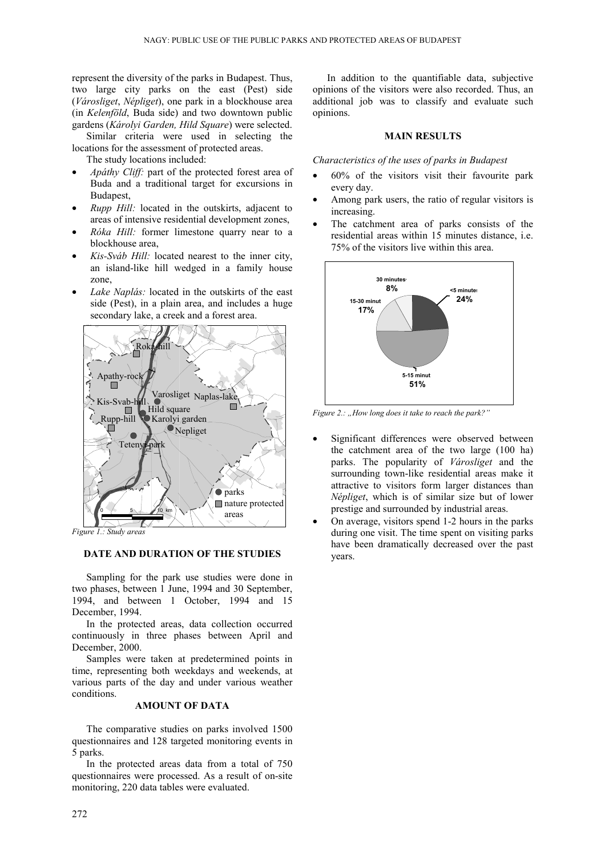represent the diversity of the parks in Budapest. Thus, two large city parks on the east (Pest) side (*Városliget*, *Népliget*), one park in a blockhouse area (in *Kelenföld*, Buda side) and two downtown public gardens (*Károlyi Garden, Hild Square*) were selected.

Similar criteria were used in selecting the locations for the assessment of protected areas.

The study locations included:

- *Apáthy Cliff:* part of the protected forest area of Buda and a traditional target for excursions in Budapest,
- *Rupp Hill:* located in the outskirts, adjacent to areas of intensive residential development zones,
- *Róka Hill:* former limestone quarry near to a blockhouse area,
- *Kis-Sváb Hill:* located nearest to the inner city, an island-like hill wedged in a family house zone,
- Lake Naplás: located in the outskirts of the east side (Pest), in a plain area, and includes a huge secondary lake, a creek and a forest area.



*Figure 1.: Study areas*

### **DATE AND DURATION OF THE STUDIES**

Sampling for the park use studies were done in two phases, between 1 June, 1994 and 30 September, 1994, and between 1 October, 1994 and 15 December, 1994.

In the protected areas, data collection occurred continuously in three phases between April and December, 2000.

Samples were taken at predetermined points in time, representing both weekdays and weekends, at various parts of the day and under various weather conditions.

# **AMOUNT OF DATA**

The comparative studies on parks involved 1500 questionnaires and 128 targeted monitoring events in 5 parks.

In the protected areas data from a total of 750 questionnaires were processed. As a result of on-site monitoring, 220 data tables were evaluated.

In addition to the quantifiable data, subjective opinions of the visitors were also recorded. Thus, an additional job was to classify and evaluate such opinions.

#### **MAIN RESULTS**

*Characteristics of the uses of parks in Budapest*

- 60% of the visitors visit their favourite park every day.
- Among park users, the ratio of regular visitors is increasing.
- The catchment area of parks consists of the residential areas within 15 minutes distance, i.e. 75% of the visitors live within this area.



*Figure 2.: "How long does it take to reach the park?"*

- Significant differences were observed between the catchment area of the two large (100 ha) parks. The popularity of *Városliget* and the surrounding town-like residential areas make it attractive to visitors form larger distances than *Népliget*, which is of similar size but of lower prestige and surrounded by industrial areas.
- On average, visitors spend 1-2 hours in the parks during one visit. The time spent on visiting parks have been dramatically decreased over the past years.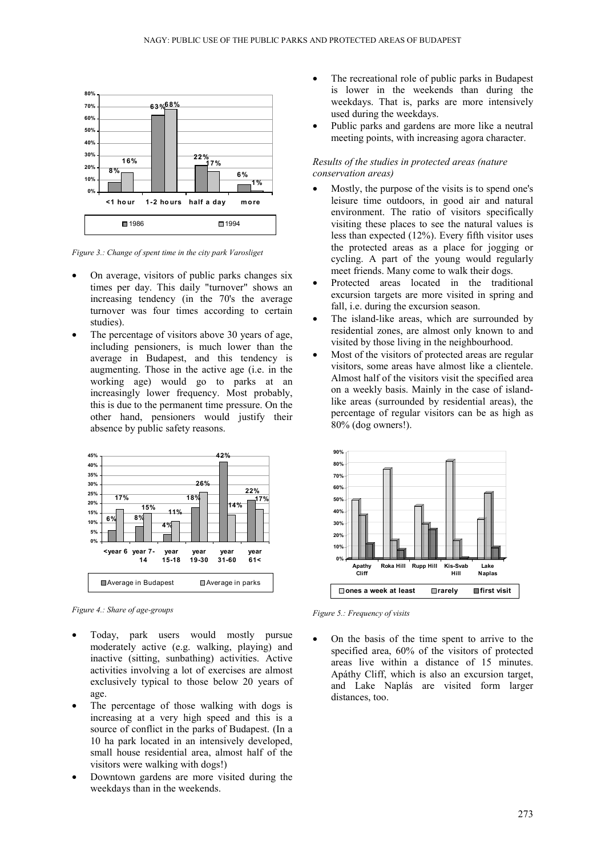

*Figure 3.: Change of spent time in the city park Varosliget*

- On average, visitors of public parks changes six times per day. This daily "turnover" shows an increasing tendency (in the 70's the average turnover was four times according to certain studies).
- The percentage of visitors above 30 years of age, including pensioners, is much lower than the average in Budapest, and this tendency is augmenting. Those in the active age (i.e. in the working age) would go to parks at an increasingly lower frequency. Most probably, this is due to the permanent time pressure. On the other hand, pensioners would justify their absence by public safety reasons.



*Figure 4.: Share of age-groups*

- Today, park users would mostly pursue moderately active (e.g. walking, playing) and inactive (sitting, sunbathing) activities. Active activities involving a lot of exercises are almost exclusively typical to those below 20 years of age.
- The percentage of those walking with dogs is increasing at a very high speed and this is a source of conflict in the parks of Budapest. (In a 10 ha park located in an intensively developed, small house residential area, almost half of the visitors were walking with dogs!)
- Downtown gardens are more visited during the weekdays than in the weekends.
- The recreational role of public parks in Budapest is lower in the weekends than during the weekdays. That is, parks are more intensively used during the weekdays.
- Public parks and gardens are more like a neutral meeting points, with increasing agora character.

# *Results of the studies in protected areas (nature conservation areas)*

- Mostly, the purpose of the visits is to spend one's leisure time outdoors, in good air and natural environment. The ratio of visitors specifically visiting these places to see the natural values is less than expected (12%). Every fifth visitor uses the protected areas as a place for jogging or cycling. A part of the young would regularly meet friends. Many come to walk their dogs.
- Protected areas located in the traditional excursion targets are more visited in spring and fall, i.e. during the excursion season.
- The island-like areas, which are surrounded by residential zones, are almost only known to and visited by those living in the neighbourhood.
- Most of the visitors of protected areas are regular visitors, some areas have almost like a clientele. Almost half of the visitors visit the specified area on a weekly basis. Mainly in the case of islandlike areas (surrounded by residential areas), the percentage of regular visitors can be as high as 80% (dog owners!).



*Figure 5.: Frequency of visits*

• On the basis of the time spent to arrive to the specified area, 60% of the visitors of protected areas live within a distance of 15 minutes. Apáthy Cliff, which is also an excursion target, and Lake Naplás are visited form larger distances, too.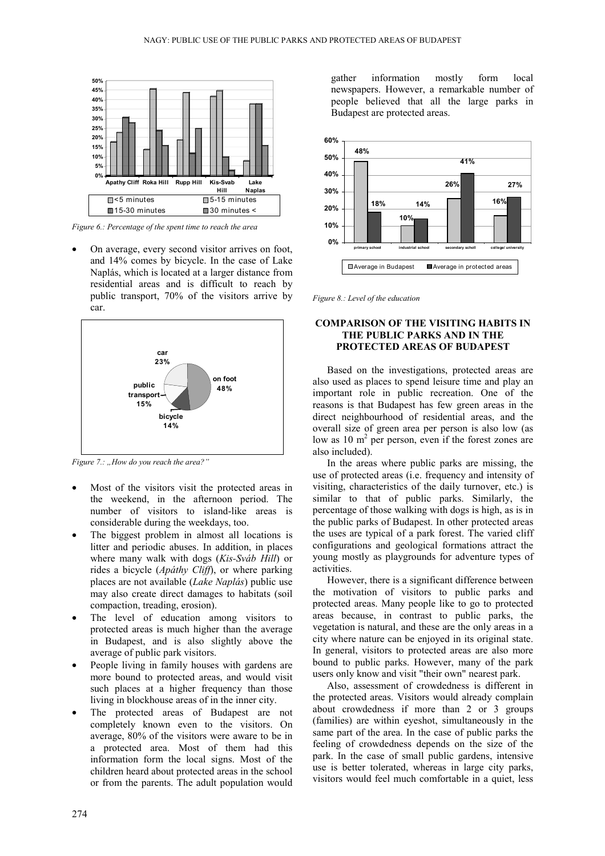

*Figure 6.: Percentage of the spent time to reach the area*

• On average, every second visitor arrives on foot, and 14% comes by bicycle. In the case of Lake Naplás, which is located at a larger distance from residential areas and is difficult to reach by public transport, 70% of the visitors arrive by car.



*Figure 7.: "How do you reach the area?"*

- Most of the visitors visit the protected areas in the weekend, in the afternoon period. The number of visitors to island-like areas is considerable during the weekdays, too.
- The biggest problem in almost all locations is litter and periodic abuses. In addition, in places where many walk with dogs (*Kis-Sváb Hill*) or rides a bicycle (*Apáthy Cliff*), or where parking places are not available (*Lake Naplás*) public use may also create direct damages to habitats (soil compaction, treading, erosion).
- The level of education among visitors to protected areas is much higher than the average in Budapest, and is also slightly above the average of public park visitors.
- People living in family houses with gardens are more bound to protected areas, and would visit such places at a higher frequency than those living in blockhouse areas of in the inner city.
- The protected areas of Budapest are not completely known even to the visitors. On average, 80% of the visitors were aware to be in a protected area. Most of them had this information form the local signs. Most of the children heard about protected areas in the school or from the parents. The adult population would

gather information mostly form local newspapers. However, a remarkable number of people believed that all the large parks in Budapest are protected areas.



*Figure 8.: Level of the education*

### **COMPARISON OF THE VISITING HABITS IN THE PUBLIC PARKS AND IN THE PROTECTED AREAS OF BUDAPEST**

Based on the investigations, protected areas are also used as places to spend leisure time and play an important role in public recreation. One of the reasons is that Budapest has few green areas in the direct neighbourhood of residential areas, and the overall size of green area per person is also low (as low as  $10 \text{ m}^2$  per person, even if the forest zones are also included).

In the areas where public parks are missing, the use of protected areas (i.e. frequency and intensity of visiting, characteristics of the daily turnover, etc.) is similar to that of public parks. Similarly, the percentage of those walking with dogs is high, as is in the public parks of Budapest. In other protected areas the uses are typical of a park forest. The varied cliff configurations and geological formations attract the young mostly as playgrounds for adventure types of activities.

However, there is a significant difference between the motivation of visitors to public parks and protected areas. Many people like to go to protected areas because, in contrast to public parks, the vegetation is natural, and these are the only areas in a city where nature can be enjoyed in its original state. In general, visitors to protected areas are also more bound to public parks. However, many of the park users only know and visit "their own" nearest park.

Also, assessment of crowdedness is different in the protected areas. Visitors would already complain about crowdedness if more than 2 or 3 groups (families) are within eyeshot, simultaneously in the same part of the area. In the case of public parks the feeling of crowdedness depends on the size of the park. In the case of small public gardens, intensive use is better tolerated, whereas in large city parks, visitors would feel much comfortable in a quiet, less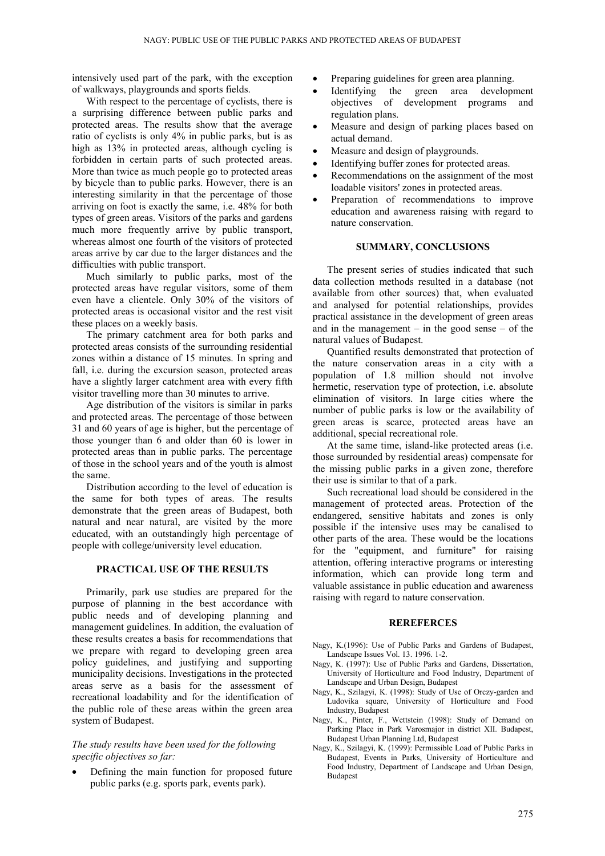intensively used part of the park, with the exception of walkways, playgrounds and sports fields.

With respect to the percentage of cyclists, there is a surprising difference between public parks and protected areas. The results show that the average ratio of cyclists is only 4% in public parks, but is as high as  $13\%$  in protected areas, although cycling is forbidden in certain parts of such protected areas. More than twice as much people go to protected areas by bicycle than to public parks. However, there is an interesting similarity in that the percentage of those arriving on foot is exactly the same, i.e. 48% for both types of green areas. Visitors of the parks and gardens much more frequently arrive by public transport, whereas almost one fourth of the visitors of protected areas arrive by car due to the larger distances and the difficulties with public transport.

Much similarly to public parks, most of the protected areas have regular visitors, some of them even have a clientele. Only 30% of the visitors of protected areas is occasional visitor and the rest visit these places on a weekly basis.

The primary catchment area for both parks and protected areas consists of the surrounding residential zones within a distance of 15 minutes. In spring and fall, i.e. during the excursion season, protected areas have a slightly larger catchment area with every fifth visitor travelling more than 30 minutes to arrive.

Age distribution of the visitors is similar in parks and protected areas. The percentage of those between 31 and 60 years of age is higher, but the percentage of those younger than 6 and older than 60 is lower in protected areas than in public parks. The percentage of those in the school years and of the youth is almost the same.

Distribution according to the level of education is the same for both types of areas. The results demonstrate that the green areas of Budapest, both natural and near natural, are visited by the more educated, with an outstandingly high percentage of people with college/university level education.

### **PRACTICAL USE OF THE RESULTS**

Primarily, park use studies are prepared for the purpose of planning in the best accordance with public needs and of developing planning and management guidelines. In addition, the evaluation of these results creates a basis for recommendations that we prepare with regard to developing green area policy guidelines, and justifying and supporting municipality decisions. Investigations in the protected areas serve as a basis for the assessment of recreational loadability and for the identification of the public role of these areas within the green area system of Budapest.

### *The study results have been used for the following specific objectives so far:*

• Defining the main function for proposed future public parks (e.g. sports park, events park).

- Preparing guidelines for green area planning.
- Identifying the green area development objectives of development programs and regulation plans.
- Measure and design of parking places based on actual demand.
- Measure and design of playgrounds.
- Identifying buffer zones for protected areas.
- Recommendations on the assignment of the most loadable visitors' zones in protected areas.
- Preparation of recommendations to improve education and awareness raising with regard to nature conservation.

### **SUMMARY, CONCLUSIONS**

The present series of studies indicated that such data collection methods resulted in a database (not available from other sources) that, when evaluated and analysed for potential relationships, provides practical assistance in the development of green areas and in the management  $-$  in the good sense  $-$  of the natural values of Budapest.

Quantified results demonstrated that protection of the nature conservation areas in a city with a population of 1.8 million should not involve hermetic, reservation type of protection, i.e. absolute elimination of visitors. In large cities where the number of public parks is low or the availability of green areas is scarce, protected areas have an additional, special recreational role.

At the same time, island-like protected areas (i.e. those surrounded by residential areas) compensate for the missing public parks in a given zone, therefore their use is similar to that of a park.

Such recreational load should be considered in the management of protected areas. Protection of the endangered, sensitive habitats and zones is only possible if the intensive uses may be canalised to other parts of the area. These would be the locations for the "equipment, and furniture" for raising attention, offering interactive programs or interesting information, which can provide long term and valuable assistance in public education and awareness raising with regard to nature conservation.

### **REREFERCES**

- Nagy, K.(1996): Use of Public Parks and Gardens of Budapest, Landscape Issues Vol. 13. 1996. 1-2.
- Nagy, K. (1997): Use of Public Parks and Gardens, Dissertation, University of Horticulture and Food Industry, Department of Landscape and Urban Design, Budapest
- Nagy, K., Szilagyi, K. (1998): Study of Use of Orczy-garden and Ludovika square, University of Horticulture and Food Industry, Budapest
- Nagy, K., Pinter, F., Wettstein (1998): Study of Demand on Parking Place in Park Varosmajor in district XII. Budapest, Budapest Urban Planning Ltd, Budapest
- Nagy, K., Szilagyi, K. (1999): Permissible Load of Public Parks in Budapest, Events in Parks, University of Horticulture and Food Industry, Department of Landscape and Urban Design, Budapest